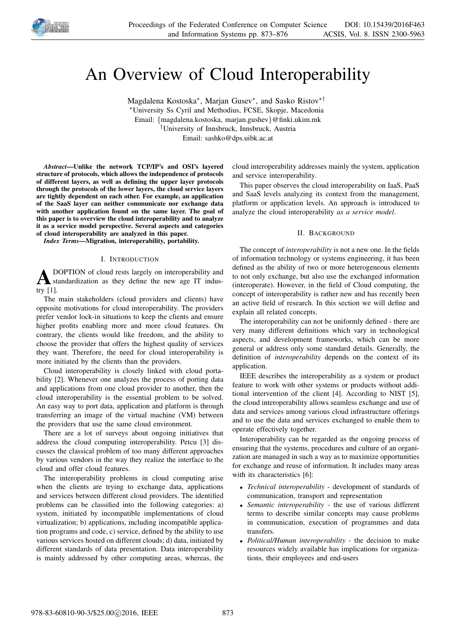

# An Overview of Cloud Interoperability

Magdalena Kostoska<sup>∗</sup> , Marjan Gusev<sup>∗</sup> , and Sasko Ristov∗† <sup>∗</sup>University Ss Cyril and Methodius, FCSE, Skopje, Macedonia

Email: {magdalena.kostoska, marjan.gushev}@finki.ukim.mk

†University of Innsbruck, Innsbruck, Austria

Email: sashko@dps.uibk.ac.at

*Abstract*—Unlike the network TCP/IP's and OSI's layered structure of protocols, which allows the independence of protocols of different layers, as well as defining the upper layer protocols through the protocols of the lower layers, the cloud service layers are tightly dependent on each other. For example, an application of the SaaS layer can neither communicate nor exchange data with another application found on the same layer. The goal of this paper is to overview the cloud interoperability and to analyze it as a service model perspective. Several aspects and categories of cloud interoperability are analyzed in this paper.

*Index Terms*—Migration, interoperability, portability.

#### I. INTRODUCTION

 ${\bf A}^{\scriptscriptstyle \rm D}_{\scriptscriptstyle \rm st}$ <br>try [1]. DOPTION of cloud rests largely on interoperability and standardization as they define the new age IT indus-

The main stakeholders (cloud providers and clients) have opposite motivations for cloud interoperability. The providers prefer vendor lock-in situations to keep the clients and ensure higher profits enabling more and more cloud features. On contrary, the clients would like freedom, and the ability to choose the provider that offers the highest quality of services they want. Therefore, the need for cloud interoperability is more initiated by the clients than the providers.

Cloud interoperability is closely linked with cloud portability [2]. Whenever one analyzes the process of porting data and applications from one cloud provider to another, then the cloud interoperability is the essential problem to be solved. An easy way to port data, application and platform is through transferring an image of the virtual machine (VM) between the providers that use the same cloud environment.

There are a lot of surveys about ongoing initiatives that address the cloud computing interoperability. Petcu [3] discusses the classical problem of too many different approaches by various vendors in the way they realize the interface to the cloud and offer cloud features.

The interoperability problems in cloud computing arise when the clients are trying to exchange data, applications and services between different cloud providers. The identified problems can be classified into the following categories: a) system, initiated by incompatible implementations of cloud virtualization; b) applications, including incompatible application programs and code, c) service, defined by the ability to use various services hosted on different clouds; d) data, initiated by different standards of data presentation. Data interoperability is mainly addressed by other computing areas, whereas, the

cloud interoperability addresses mainly the system, application and service interoperability.

This paper observes the cloud interoperability on IaaS, PaaS and SaaS levels analyzing its context from the management, platform or application levels. An approach is introduced to analyze the cloud interoperability *as a service model*.

# II. BACKGROUND

The concept of *interoperability* is not a new one. In the fields of information technology or systems engineering, it has been defined as the ability of two or more heterogeneous elements to not only exchange, but also use the exchanged information (interoperate). However, in the field of Cloud computing, the concept of interoperability is rather new and has recently been an active field of research. In this section we will define and explain all related concepts.

The interoperability can not be uniformly defined - there are very many different definitions which vary in technological aspects, and development frameworks, which can be more general or address only some standard details. Generally, the definition of *interoperability* depends on the context of its application.

IEEE describes the interoperability as a system or product feature to work with other systems or products without additional intervention of the client [4]. According to NIST [5], the cloud interoperability allows seamless exchange and use of data and services among various cloud infrastructure offerings and to use the data and services exchanged to enable them to operate effectively together.

Interoperability can be regarded as the ongoing process of ensuring that the systems, procedures and culture of an organization are managed in such a way as to maximize opportunities for exchange and reuse of information. It includes many areas with its characteristics [6]:

- *Technical interoperability* development of standards of communication, transport and representation
- *Semantic interoperability* the use of various different terms to describe similar concepts may cause problems in communication, execution of programmes and data transfers.
- *Political/Human interoperability* the decision to make resources widely available has implications for organizations, their employees and end-users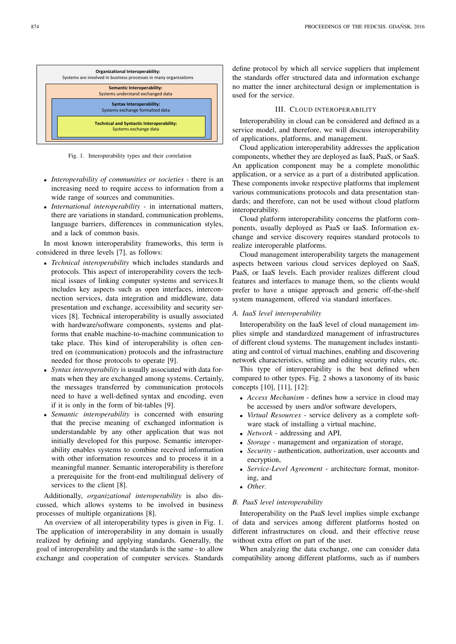

Fig. 1. Interoperability types and their correlation

- *Interoperability of communities or societies* there is an increasing need to require access to information from a wide range of sources and communities.
- *International interoperability* in international matters, there are variations in standard, communication problems, language barriers, differences in communication styles, and a lack of common basis.

In most known interoperability frameworks, this term is considered in three levels [7], as follows:

- *Technical interoperability* which includes standards and protocols. This aspect of interoperability covers the technical issues of linking computer systems and services.It includes key aspects such as open interfaces, interconnection services, data integration and middleware, data presentation and exchange, accessibility and security services [8]. Technical interoperability is usually associated with hardware/software components, systems and platforms that enable machine-to-machine communication to take place. This kind of interoperability is often centred on (communication) protocols and the infrastructure needed for those protocols to operate [9].
- *Syntax interoperability* is usually associated with data formats when they are exchanged among systems. Certainly, the messages transferred by communication protocols need to have a well-defined syntax and encoding, even if it is only in the form of bit-tables [9].
- *Semantic interoperability* is concerned with ensuring that the precise meaning of exchanged information is understandable by any other application that was not initially developed for this purpose. Semantic interoperability enables systems to combine received information with other information resources and to process it in a meaningful manner. Semantic interoperability is therefore a prerequisite for the front-end multilingual delivery of services to the client [8].

Additionally, *organizational interoperability* is also discussed, which allows systems to be involved in business processes of multiple organizations [8].

An overview of all interoperability types is given in Fig. 1. The application of interoperability in any domain is usually realized by defining and applying standards. Generally, the goal of interoperability and the standards is the same - to allow exchange and cooperation of computer services. Standards define protocol by which all service suppliers that implement the standards offer structured data and information exchange no matter the inner architectural design or implementation is used for the service.

## III. CLOUD INTEROPERABILITY

Interoperability in cloud can be considered and defined as a service model, and therefore, we will discuss interoperability of applications, platforms, and management.

Cloud application interoperability addresses the application components, whether they are deployed as IaaS, PaaS, or SaaS. An application component may be a complete monolithic application, or a service as a part of a distributed application. These components invoke respective platforms that implement various communications protocols and data presentation standards; and therefore, can not be used without cloud platform interoperability.

Cloud platform interoperability concerns the platform components, usually deployed as PaaS or IaaS. Information exchange and service discovery requires standard protocols to realize interoperable platforms.

Cloud management interoperability targets the management aspects between various cloud services deployed on SaaS, PaaS, or IaaS levels. Each provider realizes different cloud features and interfaces to manage them, so the clients would prefer to have a unique approach and generic off-the-shelf system management, offered via standard interfaces.

# *A. IaaS level interoperability*

Interoperability on the IaaS level of cloud management implies simple and standardized management of infrastructures of different cloud systems. The management includes instantiating and control of virtual machines, enabling and discovering network characteristics, setting and editing security rules, etc.

This type of interoperability is the best defined when compared to other types. Fig. 2 shows a taxonomy of its basic concepts [10], [11], [12]:

- *Access Mechanism* defines how a service in cloud may be accessed by users and/or software developers,
- *Virtual Resources* service delivery as a complete software stack of installing a virtual machine,
- *Network* addressing and API,
- *Storage* management and organization of storage,
- *Security* authentication, authorization, user accounts and encryption,
- *Service-Level Agreement* architecture format, monitoring, and
- *Other*.

# *B. PaaS level interoperability*

Interoperability on the PaaS level implies simple exchange of data and services among different platforms hosted on different infrastructures on cloud, and their effective reuse without extra effort on part of the user.

When analyzing the data exchange, one can consider data compatibility among different platforms, such as if numbers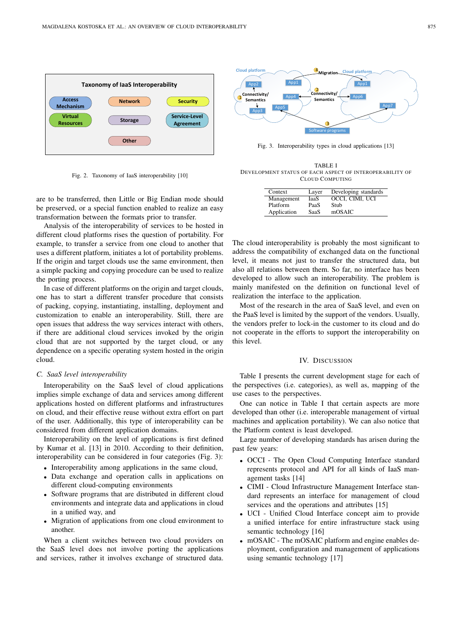

Fig. 2. Taxonomy of IaaS interoperability [10]

are to be transferred, then Little or Big Endian mode should be preserved, or a special function enabled to realize an easy transformation between the formats prior to transfer.

Analysis of the interoperability of services to be hosted in different cloud platforms rises the question of portability. For example, to transfer a service from one cloud to another that uses a different platform, initiates a lot of portability problems. If the origin and target clouds use the same environment, then a simple packing and copying procedure can be used to realize the porting process.

In case of different platforms on the origin and target clouds, one has to start a different transfer procedure that consists of packing, copying, instantiating, installing, deployment and customization to enable an interoperability. Still, there are open issues that address the way services interact with others, if there are additional cloud services invoked by the origin cloud that are not supported by the target cloud, or any dependence on a specific operating system hosted in the origin cloud.

#### *C. SaaS level interoperability*

Interoperability on the SaaS level of cloud applications implies simple exchange of data and services among different applications hosted on different platforms and infrastructures on cloud, and their effective reuse without extra effort on part of the user. Additionally, this type of interoperability can be considered from different application domains.

Interoperability on the level of applications is first defined by Kumar et al. [13] in 2010. According to their definition, interoperability can be considered in four categories (Fig. 3):

- Interoperability among applications in the same cloud,
- Data exchange and operation calls in applications on different cloud-computing environments
- Software programs that are distributed in different cloud environments and integrate data and applications in cloud in a unified way, and
- Migration of applications from one cloud environment to another.

When a client switches between two cloud providers on the SaaS level does not involve porting the applications and services, rather it involves exchange of structured data.



Fig. 3. Interoperability types in cloud applications [13]

TABLE I DEVELOPMENT STATUS OF EACH ASPECT OF INTEROPERABILITY OF CLOUD COMPUTING

| Context     | Layer       | Developing standards |
|-------------|-------------|----------------------|
| Management  | IaaS        | OCCI, CIMI, UCI      |
| Platform    | PaaS        | Stub                 |
| Application | <b>SaaS</b> | mOSAIC               |

The cloud interoperability is probably the most significant to address the compatibility of exchanged data on the functional level, it means not just to transfer the structured data, but also all relations between them. So far, no interface has been developed to allow such an interoperability. The problem is mainly manifested on the definition on functional level of realization the interface to the application.

Most of the research in the area of SaaS level, and even on the PaaS level is limited by the support of the vendors. Usually, the vendors prefer to lock-in the customer to its cloud and do not cooperate in the efforts to support the interoperability on this level.

#### IV. DISCUSSION

Table I presents the current development stage for each of the perspectives (i.e. categories), as well as, mapping of the use cases to the perspectives.

One can notice in Table I that certain aspects are more developed than other (i.e. interoperable management of virtual machines and application portability). We can also notice that the Platform context is least developed.

Large number of developing standards has arisen during the past few years:

- OCCI The Open Cloud Computing Interface standard represents protocol and API for all kinds of IaaS management tasks [14]
- CIMI Cloud Infrastructure Management Interface standard represents an interface for management of cloud services and the operations and attributes [15]
- UCI Unified Cloud Interface concept aim to provide a unified interface for entire infrastructure stack using semantic technology [16]
- mOSAIC The mOSAIC platform and engine enables deployment, configuration and management of applications using semantic technology [17]